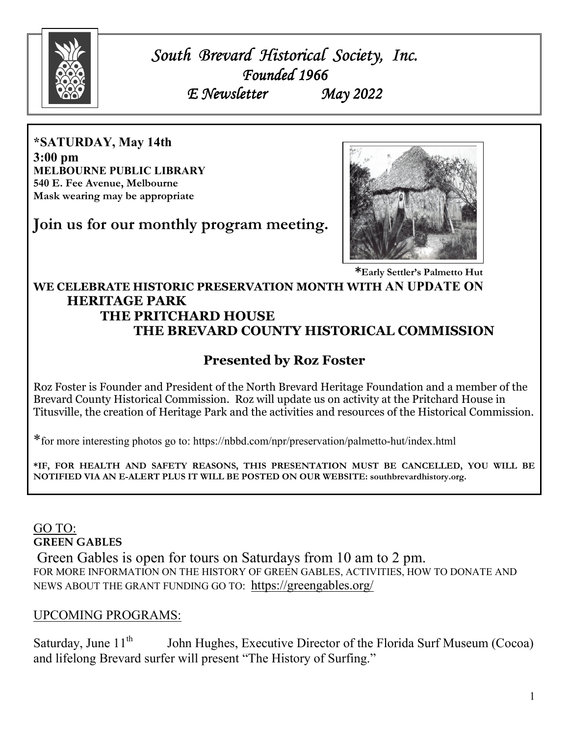

*South Brevard Historical Society, Inc. Brevard Historical Inc. Founded 1966 E Newsletter May 2022* 

**\*SATURDAY, May 14th 3:00 pm MELBOURNE PUBLIC LIBRARY 540 E. Fee Avenue, Melbourne Mask wearing may be appropriate** 

**Join us for our monthly program meeting.** 



 **\*Early Settler's Palmetto Hut** 

#### **WE CELEBRATE HISTORIC PRESERVATION MONTH WITH AN UPDATE ON HERITAGE PARK THE PRITCHARD HOUSE THE BREVARD COUNTY HISTORICAL COMMISSION**

## **Presented by Roz Foster**

Roz Foster is Founder and President of the North Brevard Heritage Foundation and a member of the Brevard County Historical Commission. Roz will update us on activity at the Pritchard House in Titusville, the creation of Heritage Park and the activities and resources of the Historical Commission.

\*for more interesting photos go to: https://nbbd.com/npr/preservation/palmetto-hut/index.html

**\*IF, FOR HEALTH AND SAFETY REASONS, THIS PRESENTATION MUST BE CANCELLED, YOU WILL BE NOTIFIED VIA AN E-ALERT PLUS IT WILL BE POSTED ON OUR WEBSITE: southbrevardhistory.org.** 

### GO TO: **GREEN GABLES**

 Green Gables is open for tours on Saturdays from 10 am to 2 pm. FOR MORE INFORMATION ON THE HISTORY OF GREEN GABLES, ACTIVITIES, HOW TO DONATE AND NEWS ABOUT THE GRANT FUNDING GO TO: https://greengables.org/

### UPCOMING PROGRAMS:

Saturday, June  $11<sup>th</sup>$  John Hughes, Executive Director of the Florida Surf Museum (Cocoa) and lifelong Brevard surfer will present "The History of Surfing."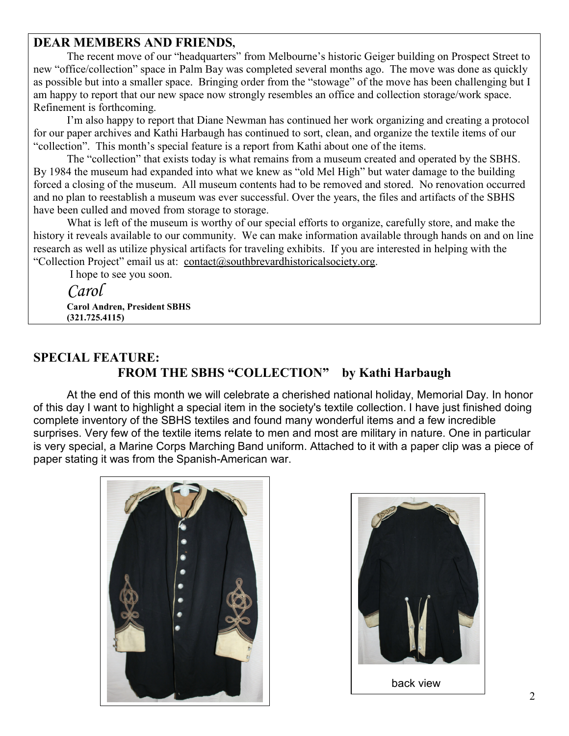### **DEAR MEMBERS AND FRIENDS,**

 The recent move of our "headquarters" from Melbourne's historic Geiger building on Prospect Street to new "office/collection" space in Palm Bay was completed several months ago. The move was done as quickly as possible but into a smaller space. Bringing order from the "stowage" of the move has been challenging but I am happy to report that our new space now strongly resembles an office and collection storage/work space. Refinement is forthcoming.

 I'm also happy to report that Diane Newman has continued her work organizing and creating a protocol for our paper archives and Kathi Harbaugh has continued to sort, clean, and organize the textile items of our "collection". This month's special feature is a report from Kathi about one of the items.

 The "collection" that exists today is what remains from a museum created and operated by the SBHS. By 1984 the museum had expanded into what we knew as "old Mel High" but water damage to the building forced a closing of the museum. All museum contents had to be removed and stored. No renovation occurred and no plan to reestablish a museum was ever successful. Over the years, the files and artifacts of the SBHS have been culled and moved from storage to storage.

 What is left of the museum is worthy of our special efforts to organize, carefully store, and make the history it reveals available to our community. We can make information available through hands on and on line research as well as utilize physical artifacts for traveling exhibits. If you are interested in helping with the "Collection Project" email us at: contact@southbrevardhistoricalsociety.org.

I hope to see you soon.

 *Carol*  **Carol Andren, President SBHS (321.725.4115)** 

### **SPECIAL FEATURE: FROM THE SBHS "COLLECTION" by Kathi Harbaugh**

At the end of this month we will celebrate a cherished national holiday, Memorial Day. In honor of this day I want to highlight a special item in the society's textile collection. I have just finished doing complete inventory of the SBHS textiles and found many wonderful items and a few incredible surprises. Very few of the textile items relate to men and most are military in nature. One in particular is very special, a Marine Corps Marching Band uniform. Attached to it with a paper clip was a piece of paper stating it was from the Spanish-American war.



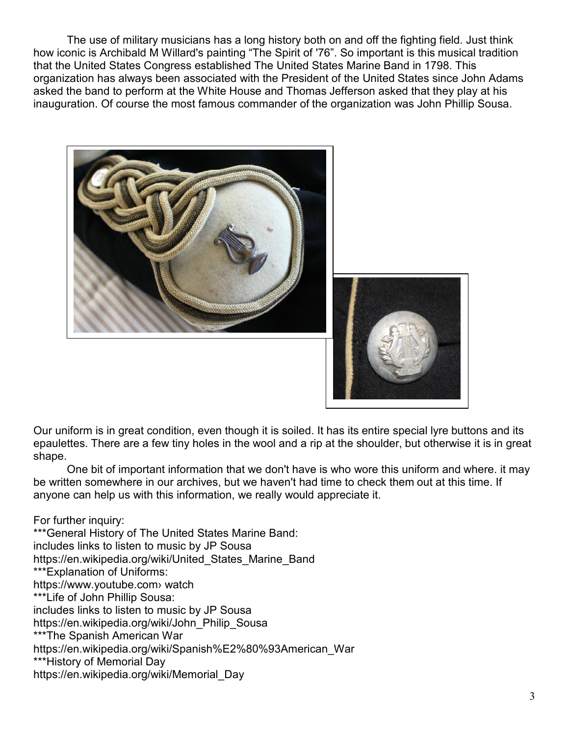The use of military musicians has a long history both on and off the fighting field. Just think how iconic is Archibald M Willard's painting "The Spirit of '76". So important is this musical tradition that the United States Congress established The United States Marine Band in 1798. This organization has always been associated with the President of the United States since John Adams asked the band to perform at the White House and Thomas Jefferson asked that they play at his inauguration. Of course the most famous commander of the organization was John Phillip Sousa.



Our uniform is in great condition, even though it is soiled. It has its entire special lyre buttons and its epaulettes. There are a few tiny holes in the wool and a rip at the shoulder, but otherwise it is in great shape.

 One bit of important information that we don't have is who wore this uniform and where. it may be written somewhere in our archives, but we haven't had time to check them out at this time. If anyone can help us with this information, we really would appreciate it.

For further inquiry: \*\*\*General History of The United States Marine Band: includes links to listen to music by JP Sousa https://en.wikipedia.org/wiki/United States Marine Band \*\*\*Explanation of Uniforms: https://www.youtube.com› watch \*\*\*Life of John Phillip Sousa: includes links to listen to music by JP Sousa https://en.wikipedia.org/wiki/John\_Philip\_Sousa \*\*\*The Spanish American War https://en.wikipedia.org/wiki/Spanish%E2%80%93American\_War \*\*\*History of Memorial Day https://en.wikipedia.org/wiki/Memorial\_Day